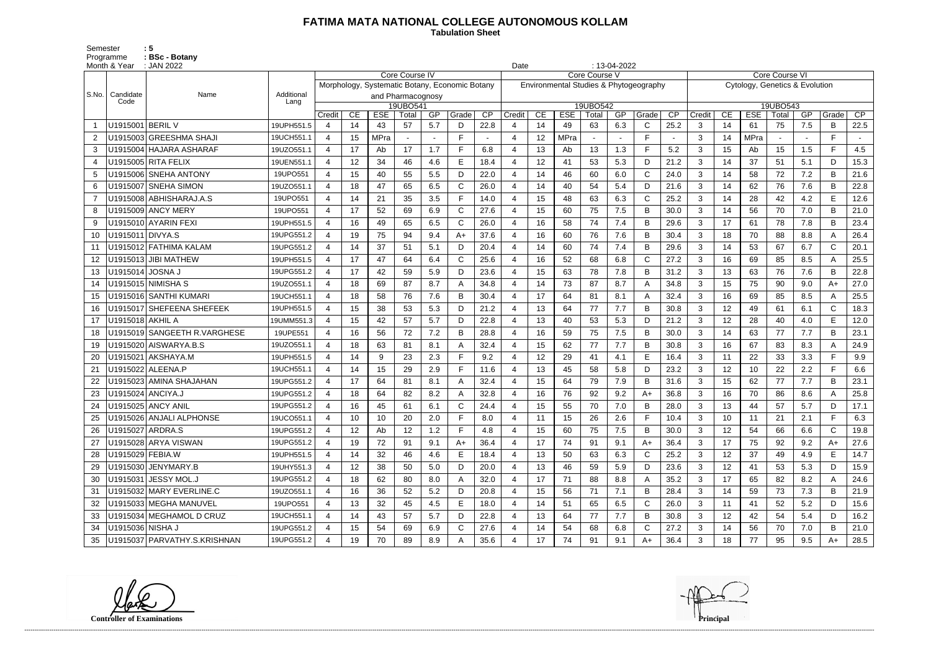## **FATIMA MATA NATIONAL COLLEGE AUTONOMOUS KOLLAM**

 **Tabulation Sheet** 

Semester : 5 Programme : **BSc - Botany** 

|                | Month & Year      | : JAN 2022                   |                    | $: 13-04-2022$<br>Date<br>Core Course IV<br>Core Course V<br><b>Core Course VI</b> |    |                                                |                   |     |              |      |                |    |                                        |                   |     |              |      |                                |    |            |                   |     |              |      |
|----------------|-------------------|------------------------------|--------------------|------------------------------------------------------------------------------------|----|------------------------------------------------|-------------------|-----|--------------|------|----------------|----|----------------------------------------|-------------------|-----|--------------|------|--------------------------------|----|------------|-------------------|-----|--------------|------|
|                |                   |                              |                    |                                                                                    |    |                                                |                   |     |              |      |                |    |                                        |                   |     |              |      |                                |    |            |                   |     |              |      |
|                |                   |                              |                    |                                                                                    |    | Morphology, Systematic Botany, Economic Botany |                   |     |              |      |                |    | Environmental Studies & Phytogeography |                   |     |              |      | Cytology, Genetics & Evolution |    |            |                   |     |              |      |
| S.No.          | Candidate<br>Code | Name                         | Additional<br>Lang |                                                                                    |    | and Pharmacognosy                              |                   |     |              |      |                |    |                                        |                   |     |              |      |                                |    |            |                   |     |              |      |
|                |                   |                              |                    | Credit                                                                             | CE | <b>ESE</b>                                     | 19UBO541<br>Total | GP  | Grade        | CP   | Credit         | CE | <b>ESE</b>                             | 19UBO542<br>Total | GP  | Grade        | CP   | Credit                         | CE | <b>ESE</b> | 19UBO543<br>Total | GP  | Grade        | CP   |
|                | U1915001          | <b>BERIL V</b>               | 19UPH551.5         |                                                                                    | 14 | 43                                             | 57                | 5.7 | D            | 22.8 | 4              | 14 | 49                                     | 63                | 6.3 | C            | 25.2 | 3                              | 14 | 61         | 75                | 7.5 | B            | 22.5 |
| 2              |                   | U1915003 GREESHMA SHAJI      | 19UCH551.1         | $\overline{4}$                                                                     | 15 | <b>MPra</b>                                    |                   |     | F.           |      | 4              | 12 | <b>MPra</b>                            |                   |     | F            |      | 3                              | 14 | MPra       |                   |     | F.           |      |
| 3              |                   | U1915004 HAJARA ASHARAF      | 19UZO551.1         | $\overline{\mathcal{A}}$                                                           | 17 | Ab                                             | 17                | 1.7 | F.           | 6.8  | $\overline{4}$ | 13 | Ab                                     | 13                | 1.3 | $\mathsf{F}$ | 5.2  | 3                              | 15 | Ab         | 15                | 1.5 | F            | 4.5  |
| -4             |                   | U1915005 RITA FELIX          | 19UEN551.1         |                                                                                    | 12 | 34                                             | 46                | 4.6 | E            | 18.4 | 4              | 12 | 41                                     | 53                | 5.3 | D            | 21.2 | 3                              | 14 | 37         | 51                | 5.1 | D            | 15.3 |
| 5              |                   | U1915006 SNEHA ANTONY        | 19UPO551           | $\overline{\mathcal{A}}$                                                           | 15 | 40                                             | 55                | 5.5 | D            | 22.0 | $\overline{4}$ | 14 | 46                                     | 60                | 6.0 | $\mathsf{C}$ | 24.0 | 3                              | 14 | 58         | 72                | 7.2 | B            | 21.6 |
| 6              | U1915007          | <b>SNEHA SIMON</b>           | 19UZO551.1         |                                                                                    | 18 | 47                                             | 65                | 6.5 | C            | 26.0 |                | 14 | 40                                     | 54                | 5.4 | D            | 21.6 | 3                              | 14 | 62         | 76                | 7.6 | B            | 22.8 |
| $\overline{7}$ |                   | U1915008   ABHISHARAJ.A.S    | 19UPO551           | $\overline{4}$                                                                     | 14 | 21                                             | 35                | 3.5 | F.           | 14.0 | 4              | 15 | 48                                     | 63                | 6.3 | $\mathsf{C}$ | 25.2 | 3                              | 14 | 28         | 42                | 4.2 | E            | 12.6 |
| 8              |                   | U1915009 ANCY MERY           | 19UPO551           | $\overline{\mathcal{A}}$                                                           | 17 | 52                                             | 69                | 6.9 | $\mathsf{C}$ | 27.6 | 4              | 15 | 60                                     | 75                | 7.5 | B            | 30.0 | 3                              | 14 | 56         | 70                | 7.0 | B            | 21.0 |
| 9              |                   | U1915010 AYARIN FEXI         | 19UPH551.5         |                                                                                    | 16 | 49                                             | 65                | 6.5 | C            | 26.0 |                | 16 | 58                                     | 74                | 7.4 | $\mathsf B$  | 29.6 | 3                              | 17 | 61         | 78                | 7.8 | B            | 23.4 |
| 10             | U1915011          | DIVYA.S                      | 19UPG551.2         | $\overline{4}$                                                                     | 19 | 75                                             | 94                | 9.4 | $A+$         | 37.6 | $\overline{4}$ | 16 | 60                                     | 76                | 7.6 | B            | 30.4 | 3                              | 18 | 70         | 88                | 8.8 | A            | 26.4 |
| 11             |                   | U1915012 FATHIMA KALAM       | 19UPG551.2         |                                                                                    | 14 | 37                                             | 51                | 5.1 | D.           | 20.4 | 4              | 14 | 60                                     | 74                | 7.4 | B            | 29.6 | 3                              | 14 | 53         | 67                | 6.7 | $\mathsf{C}$ | 20.1 |
| 12             |                   | U1915013 JIBI MATHEW         | 19UPH551.5         | 4                                                                                  | 17 | 47                                             | 64                | 6.4 | C            | 25.6 | Δ              | 16 | 52                                     | 68                | 6.8 | $\mathsf{C}$ | 27.2 | 3                              | 16 | 69         | 85                | 8.5 | A            | 25.5 |
| 13             | U1915014 JOSNA J  |                              | 19UPG551.2         | $\overline{4}$                                                                     | 17 | 42                                             | 59                | 5.9 | D            | 23.6 | 4              | 15 | 63                                     | 78                | 7.8 | B            | 31.2 | 3                              | 13 | 63         | 76                | 7.6 | B            | 22.8 |
| 14             |                   | U1915015   NIMISHA S         | 19UZO551.1         |                                                                                    | 18 | 69                                             | 87                | 8.7 | A            | 34.8 | 4              | 14 | 73                                     | 87                | 8.7 | A            | 34.8 | 3                              | 15 | 75         | 90                | 9.0 | $A+$         | 27.0 |
| 15             |                   | U1915016 SANTHI KUMARI       | 19UCH551.1         | $\overline{4}$                                                                     | 18 | 58                                             | 76                | 7.6 | B            | 30.4 | $\overline{4}$ | 17 | 64                                     | 81                | 8.1 | A            | 32.4 | 3                              | 16 | 69         | 85                | 8.5 | A            | 25.5 |
| 16             |                   | U1915017 SHEFEENA SHEFEEK    | 19UPH551.5         |                                                                                    | 15 | 38                                             | 53                | 5.3 | D            | 21.2 | 4              | 13 | 64                                     | 77                | 7.7 | B            | 30.8 | 3                              | 12 | 49         | 61                | 6.1 | $\mathsf{C}$ | 18.3 |
| 17             | U1915018 AKHIL A  |                              | 19UMM551.3         | 4                                                                                  | 15 | 42                                             | 57                | 5.7 | D            | 22.8 | Δ              | 13 | 40                                     | 53                | 5.3 | D            | 21.2 | 3                              | 12 | 28         | 40                | 4.0 | E            | 12.0 |
| 18             |                   | U1915019 SANGEETH R.VARGHESE | 19UPE551           | $\boldsymbol{\Delta}$                                                              | 16 | 56                                             | 72                | 7.2 | B            | 28.8 | 4              | 16 | 59                                     | 75                | 7.5 | B            | 30.0 | 3                              | 14 | 63         | 77                | 7.7 | B            | 23.1 |
| 19             |                   | U1915020 AISWARYA.B.S        | 19UZO551.1         |                                                                                    | 18 | 63                                             | 81                | 8.1 |              | 32.4 |                | 15 | 62                                     | 77                | 7.7 | $\mathsf B$  | 30.8 | 3                              | 16 | 67         | 83                | 8.3 |              | 24.9 |
| 20             | U1915021          | AKSHAYA.M                    | 19UPH551.5         | $\overline{4}$                                                                     | 14 | 9                                              | 23                | 2.3 | F.           | 9.2  | $\overline{4}$ | 12 | 29                                     | 41                | 4.1 | Е            | 16.4 | 3                              | 11 | 22         | 33                | 3.3 | F.           | 9.9  |
| 21             |                   | U1915022 ALEENA.P            | 19UCH551.1         | 4                                                                                  | 14 | 15                                             | 29                | 2.9 | E            | 11.6 | 4              | 13 | 45                                     | 58                | 5.8 | D            | 23.2 | 3                              | 12 | 10         | 22                | 2.2 | Е            | 6.6  |
| 22             |                   | U1915023 AMINA SHAJAHAN      | 19UPG551.2         |                                                                                    | 17 | 64                                             | 81                | 8.1 | A            | 32.4 |                | 15 | 64                                     | 79                | 7.9 | B            | 31.6 | 3                              | 15 | 62         | 77                | 7.7 | B            | 23.1 |
| 23             | U1915024 ANCIYA.J |                              | 19UPG551.2         | 4                                                                                  | 18 | 64                                             | 82                | 8.2 | A            | 32.8 | 4              | 16 | 76                                     | 92                | 9.2 | A+           | 36.8 | 3                              | 16 | 70         | 86                | 8.6 | A            | 25.8 |
| 24             |                   | U1915025 ANCY ANIL           | 19UPG551.2         |                                                                                    | 16 | 45                                             | 61                | 6.1 |              | 24.4 | 4              | 15 | 55                                     | 70                | 7.0 | B            | 28.0 | 3                              | 13 | 44         | 57                | 5.7 | D            | 17.1 |
| 25             |                   | U1915026 ANJALI ALPHONSE     | 19UCO551.1         | 4                                                                                  | 10 | 10                                             | 20                | 2.0 | F            | 8.0  | 4              | 11 | 15                                     | 26                | 2.6 | F            | 10.4 | 3                              | 10 | 11         | 21                | 2.1 | F            | 6.3  |
| 26             | U1915027 ARDRA.S  |                              | 19UPG551.2         |                                                                                    | 12 | Ab                                             | 12 <sup>2</sup>   | 1.2 | F.           | 4.8  | 4              | 15 | 60                                     | 75                | 7.5 | B            | 30.0 | $\mathbf{3}$                   | 12 | 54         | 66                | 6.6 | C.           | 19.8 |
| 27             |                   | U1915028 ARYA VISWAN         | 19UPG551.2         | $\overline{4}$                                                                     | 19 | 72                                             | 91                | 9.1 | A+           | 36.4 | 4              | 17 | 74                                     | 91                | 9.1 | $A+$         | 36.4 | 3                              | 17 | 75         | 92                | 9.2 | A+           | 27.6 |
| 28             | U1915029 FEBIA.W  |                              | 19UPH551.5         | 4                                                                                  | 14 | 32                                             | 46                | 4.6 | E.           | 18.4 | 4              | 13 | 50                                     | 63                | 6.3 | C            | 25.2 | 3                              | 12 | 37         | 49                | 4.9 | E            | 14.7 |
| 29             |                   | U1915030 JENYMARY.B          | 19UHY551.3         |                                                                                    | 12 | 38                                             | 50                | 5.0 | D            | 20.0 | 4              | 13 | 46                                     | 59                | 5.9 | D            | 23.6 | $\mathbf{3}$                   | 12 | 41         | 53                | 5.3 | D            | 15.9 |
| 30             |                   | U1915031 JESSY MOL.J         | 19UPG551.2         | 4                                                                                  | 18 | 62                                             | 80                | 8.0 | A            | 32.0 | 4              | 17 | 71                                     | 88                | 8.8 | A            | 35.2 | 3                              | 17 | 65         | 82                | 8.2 | A            | 24.6 |
| 31             |                   | U1915032 MARY EVERLINE.C     | 19UZO551.1         |                                                                                    | 16 | 36                                             | 52                | 5.2 | D            | 20.8 | 4              | 15 | 56                                     | 71                | 7.1 | B            | 28.4 | $\mathbf{3}$                   | 14 | 59         | 73                | 7.3 | B            | 21.9 |
| 32             |                   | U1915033 MEGHA MANUVEL       | 19UPO551           | $\overline{4}$                                                                     | 13 | 32                                             | 45                | 4.5 | E            | 18.0 | $\overline{4}$ | 14 | 51                                     | 65                | 6.5 | C            | 26.0 | $\mathbf{3}$                   | 11 | 41         | 52                | 5.2 | D            | 15.6 |
| 33             |                   | U1915034 MEGHAMOL D CRUZ     | 19UCH551.1         | 4                                                                                  | 14 | 43                                             | 57                | 5.7 | D            | 22.8 | 4              | 13 | 64                                     | 77                | 7.7 | B            | 30.8 | 3                              | 12 | 42         | 54                | 5.4 | D            | 16.2 |
| 34             | U1915036 NISHA J  |                              | 19UPG551.2         |                                                                                    | 15 | 54                                             | 69                | 6.9 | C            | 27.6 | 4              | 14 | 54                                     | 68                | 6.8 | C            | 27.2 | 3                              | 14 | 56         | 70                | 7.0 | B            | 21.0 |
| 35             |                   | U1915037 PARVATHY.S.KRISHNAN | 19UPG551.2         |                                                                                    | 19 | 70                                             | 89                | 8.9 |              | 35.6 | 4              | 17 | 74                                     | 91                | 9.1 | $A+$         | 36.4 | $\mathbf{3}$                   | 18 | 77         | 95                | 9.5 | A+           | 28.5 |

**Controller of Examinations Principal**

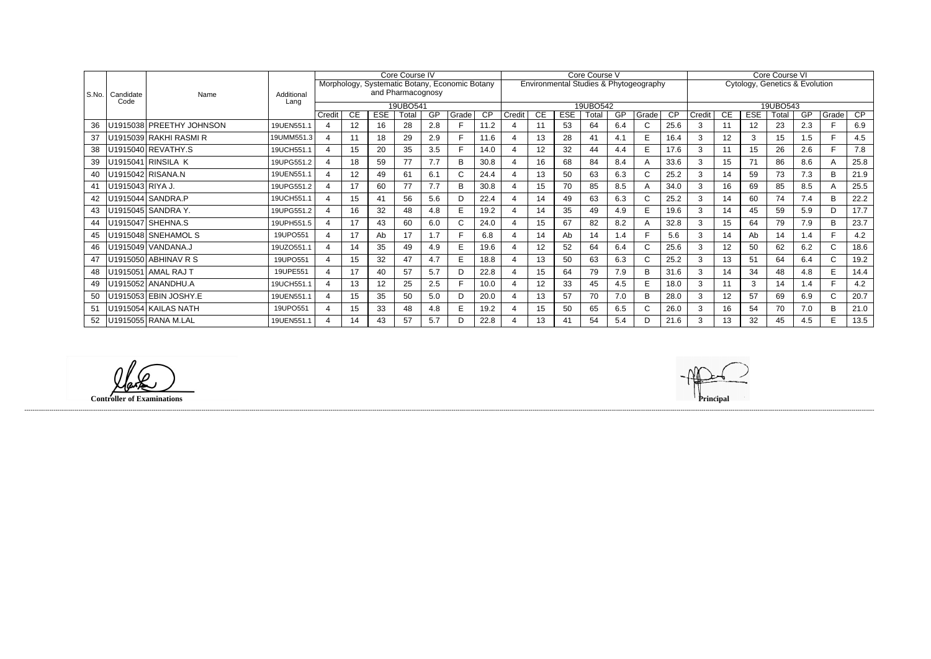|         |                           |                    | Core Course IV<br>Morphology, Systematic Botany, Economic Botany |    |            |                   |          |       |                 | Core Course V<br>Environmental Studies & Phytogeography |          |            |       |     |              |                 | Core Course VI |                                |            |                  |     |              |      |  |
|---------|---------------------------|--------------------|------------------------------------------------------------------|----|------------|-------------------|----------|-------|-----------------|---------------------------------------------------------|----------|------------|-------|-----|--------------|-----------------|----------------|--------------------------------|------------|------------------|-----|--------------|------|--|
|         |                           |                    |                                                                  |    |            | and Pharmacognosy |          |       |                 |                                                         |          |            |       |     |              |                 |                | Cytology, Genetics & Evolution |            |                  |     |              |      |  |
| l S.No. | Candidate<br>Name<br>Code | Additional<br>Lang |                                                                  |    |            |                   |          |       |                 |                                                         |          |            |       |     |              |                 |                |                                |            |                  |     |              |      |  |
|         |                           |                    |                                                                  |    |            |                   | 19UBO541 |       |                 |                                                         | 19UBO542 |            |       |     |              |                 |                |                                | 19UBO543   |                  |     |              |      |  |
|         |                           |                    | Credit                                                           | CE | <b>ESE</b> | Total             | GP       | Grade | $\overline{CP}$ | Credit                                                  | СE       | <b>ESE</b> | Total | GP  | Grade        | $\overline{CP}$ | Credit         | CE                             | <b>ESE</b> | Total            | GP  | Grade        | CP   |  |
| 36      | U1915038 PREETHY JOHNSON  | 19UEN551.1         | 4                                                                | 12 | 16         | 28                | 2.8      |       | 11.2            |                                                         | 11       | 53         | 64    | 6.4 | $\mathsf{C}$ | 25.6            | 3              | 11                             | 12         | 23               | 2.3 | F.           | 6.9  |  |
| 37      | U1915039 RAKHI RASMI R    | 19UMM551.3         | 4                                                                | 11 | 18         | 29                | 2.9      |       | 11.6            |                                                         | 13       | 28         | 41    | 4.1 | E.           | 16.4            | 3              | 12 <sup>°</sup>                | 3          | 15 <sub>15</sub> | 1.5 | F.           | 4.5  |  |
| 38      | U1915040 REVATHY.S        | 19UCH551.1         | 4                                                                | 15 | 20         | 35                | 3.5      |       | 14.0            |                                                         | 12       | 32         | 44    | 4.4 | E            | 17.6            | 3              |                                | 15         | 26               | 2.6 | F.           | 7.8  |  |
| 39      | U1915041 RINSILA K        | 19UPG551.2         | 4                                                                | 18 | 59         | 77                | 7.7      | в     | 30.8            |                                                         | 16       | 68         | 84    | 8.4 | A            | 33.6            | 3              | 15                             | 71         | 86               | 8.6 | $\mathsf{A}$ | 25.8 |  |
| 40      | U1915042 RISANA.N         | 19UEN551.1         | 4                                                                | 12 | 49         | 61                | 6.1      |       | 24.4            |                                                         | 13       | 50         | 63    | 6.3 | C            | 25.2            | 3              | 14                             | 59         | 73               | 7.3 | B            | 21.9 |  |
| 41      | U1915043 RIYA J.          | 19UPG551.2         | 4                                                                | 17 | 60         | 77                | 7.7      | B     | 30.8            |                                                         | 15       | 70         | 85    | 8.5 | A            | 34.0            | 3              | 16                             | 69         | 85               | 8.5 | $\mathsf{A}$ | 25.5 |  |
| 42      | U1915044 SANDRA.P         | 19UCH551.1         | 4                                                                | 15 | 41         | 56                | 5.6      | D.    | 22.4            |                                                         | 14       | 49         | 63    | 6.3 | C            | 25.2            | 3              | 14                             | 60         | 74               | 7.4 | B            | 22.2 |  |
| 43      | U1915045 SANDRA Y.        | 19UPG551.2         | 4                                                                | 16 | 32         | 48                | 4.8      |       | 19.2            |                                                         | 14       | 35         | 49    | 4.9 | E.           | 19.6            | 3              | 14                             | 45         | 59               | 5.9 | D            | 17.7 |  |
| 44      | U1915047 SHEHNA.S         | 19UPH551.5         | 4                                                                | 17 | 43         | 60                | 6.0      |       | 24.0            |                                                         | 15       | 67         | 82    | 8.2 | A            | 32.8            | 3              | 15                             | 64         | 79               | 7.9 | B            | 23.7 |  |
| 45      | U1915048 SNEHAMOL S       | 19UPO551           | 4                                                                | 17 | Ab         | 17                | 1.7      |       | 6.8             |                                                         | 14       | Ab         | 14    | 1.4 |              | 5.6             | 3              | 14                             | Ab         | 14               | 1.4 | F            | 4.2  |  |
| 46      | U1915049 VANDANA.J        | 19UZO551.1         | 4                                                                | 14 | 35         | 49                | 4.9      |       | 19.6            |                                                         | 12       | 52         | 64    | 6.4 | $\mathsf{C}$ | 25.6            | 3              | 12                             | 50         | 62               | 6.2 | $\mathsf{C}$ | 18.6 |  |
| 47      | U1915050 ABHINAV R S      | 19UPO551           | 4                                                                | 15 | 32         | 47                | 4.7      | F     | 18.8            |                                                         | 13       | 50         | 63    | 6.3 | $\mathsf{C}$ | 25.2            | 3              | 13                             | 51         | 64               | 6.4 | $\mathsf{C}$ | 19.2 |  |
| 48      | U1915051 AMAL RAJ T       | 19UPE551           | $\boldsymbol{\Delta}$                                            | 17 | 40         | 57                | 5.7      |       | 22.8            |                                                         | 15       | 64         | 79    | 7.9 | B            | 31.6            | 3              | 14                             | 34         | 48               | 4.8 | E.           | 14.4 |  |
| 49      | U1915052 ANANDHU.A        | 19UCH551.1         | 4                                                                | 13 | 12         | 25                | 2.5      |       | 10.0            |                                                         | 12       | 33         | 45    | 4.5 | E            | 18.0            | 3              |                                | 3          | 14               | 1.4 | F.           | 4.2  |  |
| 50      | U1915053 EBIN JOSHY.E     | 19UEN551.1         | 4                                                                | 15 | 35         | 50                | 5.0      |       | 20.0            |                                                         | 13       | 57         | 70    | 7.0 | B            | 28.0            | 3              | 12 <sup>°</sup>                | 57         | 69               | 6.9 | $\mathsf{C}$ | 20.7 |  |
| 51      | U1915054 KAILAS NATH      | 19UPO551           | 4                                                                | 15 | 33         | 48                | 4.8      | E.    | 19.2            |                                                         | 15       | 50         | 65    | 6.5 | $\mathsf{C}$ | 26.0            | 3              | 16                             | 54         | 70               | 7.0 | B            | 21.0 |  |
| 52      | U1915055 RANA M.LAL       | 19UEN551.1         |                                                                  | 14 | 43         | 57                | 5.7      |       | 22.8            |                                                         | 13       | 41         | 54    | 5.4 | D            | 21.6            | 3              | 13                             | 32         | 45               | 4.5 | E            | 13.5 |  |

**Controller of Examinations Principal**

lak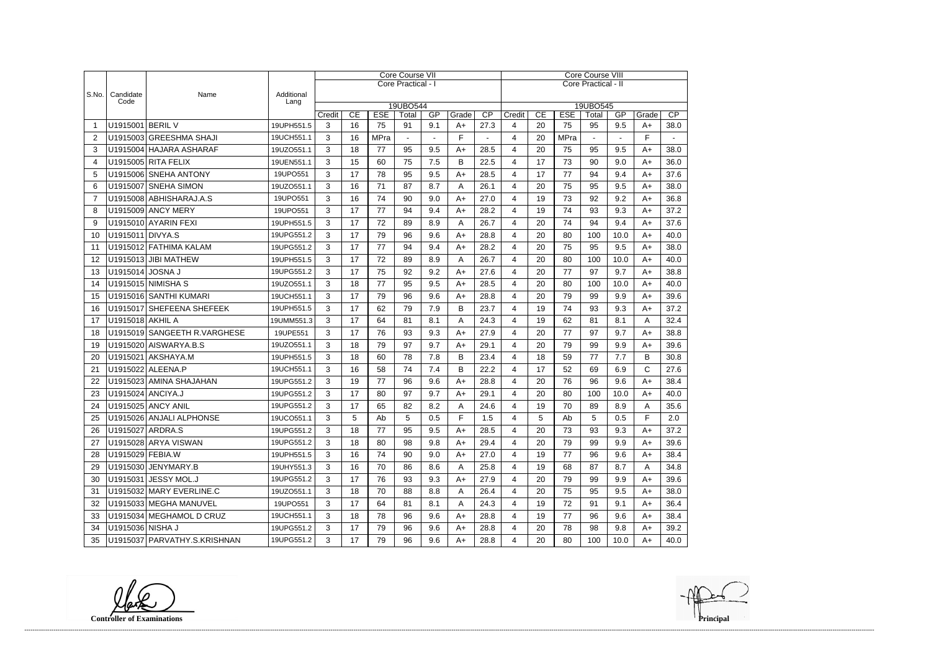|                |                    |                                     |                    |              |                                                       |             | Core Course VII    |                |               |                     | Core Course VIII        |    |                                                                                   |              |                |      |      |  |  |
|----------------|--------------------|-------------------------------------|--------------------|--------------|-------------------------------------------------------|-------------|--------------------|----------------|---------------|---------------------|-------------------------|----|-----------------------------------------------------------------------------------|--------------|----------------|------|------|--|--|
|                |                    |                                     |                    |              |                                                       |             | Core Practical - I |                |               | Core Practical - II |                         |    |                                                                                   |              |                |      |      |  |  |
| S.No.          | Candidate<br>Code  | Name                                | Additional<br>Lang |              |                                                       |             |                    |                |               |                     |                         |    |                                                                                   |              |                |      |      |  |  |
|                |                    |                                     |                    | Credit       | 19UBO544<br>CE<br><b>ESE</b><br>$\overline{CP}$<br>GP |             |                    |                |               |                     |                         |    | 19UBO545<br>CE<br><b>ESE</b><br>$\overline{CP}$<br>Credit<br>Total<br>GP<br>Grade |              |                |      |      |  |  |
|                | U1915001 BERIL V   |                                     | 19UPH551.5         | 3            | 16                                                    | 75          | Total<br>91        | 9.1            | Grade<br>$A+$ | 27.3                | 4                       | 20 | 75                                                                                | 95           | 9.5            | $A+$ | 38.0 |  |  |
| 2              |                    | U1915003 GREESHMA SHAJI             | 19UCH551.1         | 3            | 16                                                    | <b>MPra</b> | $\blacksquare$     | $\blacksquare$ | F             | $\blacksquare$      | 4                       | 20 | <b>MPra</b>                                                                       | $\mathbf{u}$ | $\blacksquare$ | F    |      |  |  |
| 3              |                    | U1915004 HAJARA ASHARAF             | 19UZO551.1         | 3            | 18                                                    | 77          | 95                 | 9.5            | A+            | 28.5                | 4                       | 20 | 75                                                                                | 95           | 9.5            | A+   | 38.0 |  |  |
| $\overline{4}$ |                    | U1915005 RITA FELIX                 | 19UEN551.1         | 3            | 15                                                    | 60          | 75                 | 7.5            | B             | 22.5                | 4                       | 17 | 73                                                                                | 90           | 9.0            | $A+$ | 36.0 |  |  |
| 5              |                    | U1915006 SNEHA ANTONY               | 19UPO551           | 3            | 17                                                    | 78          | 95                 | 9.5            | $A+$          | 28.5                | 4                       | 17 | 77                                                                                | 94           | 9.4            | $A+$ | 37.6 |  |  |
| 6              |                    | U1915007 SNEHA SIMON                | 19UZO551.1         | 3            | 16                                                    | 71          | 87                 | 8.7            | A             | 26.1                | 4                       | 20 | 75                                                                                | 95           | 9.5            | $A+$ | 38.0 |  |  |
| 7              |                    | U1915008 ABHISHARAJ.A.S             | 19UPO551           | 3            | 16                                                    | 74          | 90                 | 9.0            | $A+$          | 27.0                | 4                       | 19 | 73                                                                                | 92           | 9.2            | $A+$ | 36.8 |  |  |
| 8              |                    | U1915009 ANCY MERY                  | 19UPO551           | 3            | 17                                                    | 77          | 94                 | 9.4            | $A+$          | 28.2                | 4                       | 19 | 74                                                                                | 93           | 9.3            | $A+$ | 37.2 |  |  |
| 9              |                    | U1915010 AYARIN FEXI                | 19UPH551.5         | 3            | 17                                                    | 72          | 89                 | 8.9            | A             | 26.7                | 4                       | 20 | 74                                                                                | 94           | 9.4            | $A+$ | 37.6 |  |  |
| 10             | U1915011 DIVYA.S   |                                     | 19UPG551.2         | 3            | 17                                                    | 79          | 96                 | 9.6            | $A+$          | 28.8                | 4                       | 20 | 80                                                                                | 100          | 10.0           | $A+$ | 40.0 |  |  |
| -11            |                    | U1915012 FATHIMA KALAM              | 19UPG551.2         | 3            | 17                                                    | 77          | 94                 | 9.4            | $A+$          | 28.2                | 4                       | 20 | 75                                                                                | 95           | 9.5            | $A+$ | 38.0 |  |  |
| 12             |                    | U1915013 JIBI MATHEW                | 19UPH551.5         | 3            | 17                                                    | 72          | 89                 | 8.9            | Α             | 26.7                | 4                       | 20 | 80                                                                                | 100          | 10.0           | $A+$ | 40.0 |  |  |
| 13             | U1915014 JOSNA J   |                                     | 19UPG551.2         | 3            | 17                                                    | 75          | 92                 | 9.2            | $A+$          | 27.6                | 4                       | 20 | 77                                                                                | 97           | 9.7            | $A+$ | 38.8 |  |  |
| 14             |                    | U1915015 NIMISHA S                  | 19UZO551.1         | 3            | 18                                                    | 77          | 95                 | 9.5            | $A+$          | 28.5                | 4                       | 20 | 80                                                                                | 100          | 10.0           | $A+$ | 40.0 |  |  |
| 15             |                    | U1915016 SANTHI KUMARI              | 19UCH551.1         | 3            | 17                                                    | 79          | 96                 | 9.6            | $A+$          | 28.8                | 4                       | 20 | 79                                                                                | 99           | 9.9            | $A+$ | 39.6 |  |  |
| 16             |                    | U1915017 SHEFEENA SHEFEEK           | 19UPH551.5         | 3            | 17                                                    | 62          | 79                 | 7.9            | B             | 23.7                | 4                       | 19 | 74                                                                                | 93           | 9.3            | $A+$ | 37.2 |  |  |
| 17             | U1915018 AKHIL A   |                                     | 19UMM551.3         | 3            | 17                                                    | 64          | 81                 | 8.1            | Α             | 24.3                | 4                       | 19 | 62                                                                                | 81           | 8.1            | A    | 32.4 |  |  |
| 18             |                    | U1915019 SANGEETH R.VARGHESE        | 19UPE551           | 3            | 17                                                    | 76          | 93                 | 9.3            | $A+$          | 27.9                | 4                       | 20 | 77                                                                                | 97           | 9.7            | $A+$ | 38.8 |  |  |
| 19             |                    | U1915020 AISWARYA.B.S               | 19UZO551.1         | 3            | 18                                                    | 79          | 97                 | 9.7            | $A+$          | 29.1                | 4                       | 20 | 79                                                                                | 99           | 9.9            | $A+$ | 39.6 |  |  |
| 20             |                    | U1915021 AKSHAYA.M                  | 19UPH551.5         | 3            | 18                                                    | 60          | 78                 | 7.8            | В             | 23.4                | 4                       | 18 | 59                                                                                | 77           | 7.7            | В    | 30.8 |  |  |
| 21             |                    | U1915022 ALEENA.P                   | 19UCH551.1         | 3            | 16                                                    | 58          | 74                 | 7.4            | B             | 22.2                | 4                       | 17 | 52                                                                                | 69           | 6.9            | C    | 27.6 |  |  |
| 22             |                    | U1915023 AMINA SHAJAHAN             | 19UPG551.2         | 3            | 19                                                    | 77          | 96                 | 9.6            | $A+$          | 28.8                | 4                       | 20 | 76                                                                                | 96           | 9.6            | $A+$ | 38.4 |  |  |
| 23             | U1915024 ANCIYA.J  |                                     | 19UPG551.2         | 3            | 17                                                    | 80          | 97                 | 9.7            | $A+$          | 29.1                | 4                       | 20 | 80                                                                                | 100          | 10.0           | A+   | 40.0 |  |  |
| 24             |                    | <b>U1915025 ANCY ANIL</b>           | 19UPG551.2         | 3            | 17                                                    | 65          | 82                 | 8.2            | A             | 24.6                | 4                       | 19 | 70                                                                                | 89           | 8.9            | Α    | 35.6 |  |  |
| 25             |                    | U1915026 ANJALI ALPHONSE            | 19UCO551.1         | $\mathbf{3}$ | 5                                                     | Ab          | 5                  | 0.5            | F             | 1.5                 | $\overline{\mathbf{4}}$ | 5  | Ab                                                                                | 5            | 0.5            | F    | 2.0  |  |  |
| 26             | U1915027   ARDRA.S |                                     | 19UPG551.2         | 3            | 18                                                    | 77          | 95                 | 9.5            | $A+$          | 28.5                | 4                       | 20 | 73                                                                                | 93           | 9.3            | A+   | 37.2 |  |  |
| 27             |                    | U1915028 ARYA VISWAN                | 19UPG551.2         | 3            | 18                                                    | 80          | 98                 | 9.8            | $A+$          | 29.4                | 4                       | 20 | 79                                                                                | 99           | 9.9            | $A+$ | 39.6 |  |  |
| 28             | U1915029 FEBIA.W   |                                     | 19UPH551.5         | 3            | 16                                                    | 74          | 90                 | 9.0            | A+            | 27.0                | 4                       | 19 | 77                                                                                | 96           | 9.6            | A+   | 38.4 |  |  |
| 29             |                    | U1915030 JENYMARY.B                 | 19UHY551.3         | 3            | 16                                                    | 70          | 86                 | 8.6            | A             | 25.8                | 4                       | 19 | 68                                                                                | 87           | 8.7            | Α    | 34.8 |  |  |
| 30             |                    | U1915031 JESSY MOL.J                | 19UPG551.2         | 3            | 17                                                    | 76          | 93                 | 9.3            | $A+$          | 27.9                | 4                       | 20 | 79                                                                                | 99           | 9.9            | A+   | 39.6 |  |  |
| 31             |                    | U1915032 MARY EVERLINE.C            | 19UZO551.1         | 3            | 18                                                    | 70          | 88                 | 8.8            | A             | 26.4                | 4                       | 20 | 75                                                                                | 95           | 9.5            | A+   | 38.0 |  |  |
| 32             |                    | U1915033 MEGHA MANUVEL              | 19UPO551           | 3            | 17                                                    | 64          | 81                 | 8.1            | A             | 24.3                | 4                       | 19 | 72                                                                                | 91           | 9.1            | A+   | 36.4 |  |  |
| 33             |                    | U1915034 MEGHAMOL D CRUZ            | 19UCH551.1         | 3            | 18                                                    | 78          | 96                 | 9.6            | A+            | 28.8                | 4                       | 19 | 77                                                                                | 96           | 9.6            | A+   | 38.4 |  |  |
| 34             | U1915036 NISHA J   |                                     | 19UPG551.2         | 3            | 17                                                    | 79          | 96                 | 9.6            | $A+$          | 28.8                | 4                       | 20 | 78                                                                                | 98           | 9.8            | A+   | 39.2 |  |  |
|                |                    | 35   U1915037   PARVATHY.S.KRISHNAN | 19UPG551.2         | 3            | 17                                                    | 79          | 96                 | 9.6            | $A+$          | 28.8                | 4                       | 20 | 80                                                                                | 100          | 10.0           | A+   | 40.0 |  |  |

**Controller of Examinations**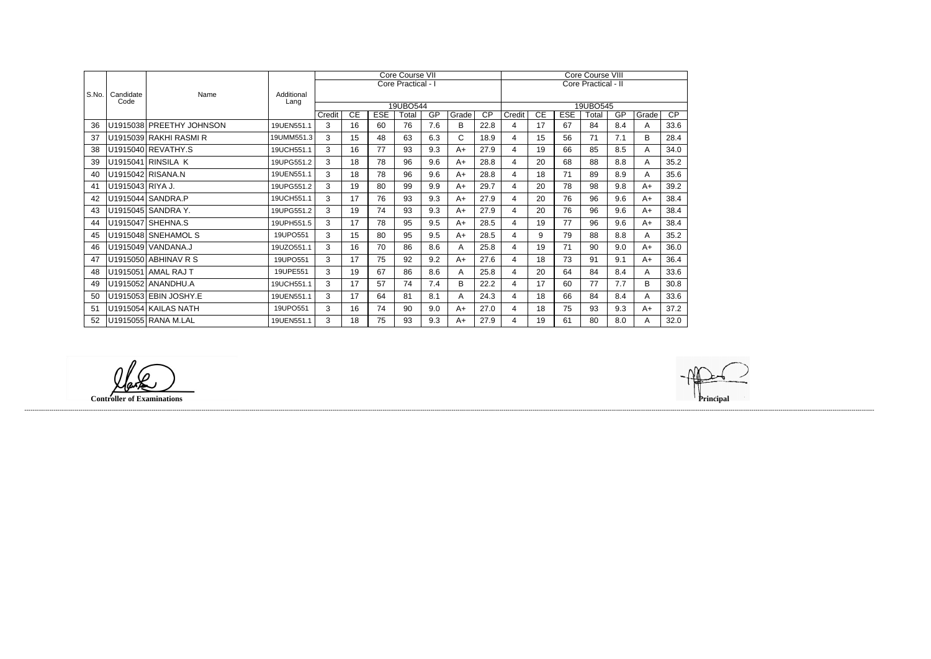|       |                   |                          |                    |        |    |            | Core Course VII    |     |       | Core Course VIII |        |    |                     |          |     |       |      |
|-------|-------------------|--------------------------|--------------------|--------|----|------------|--------------------|-----|-------|------------------|--------|----|---------------------|----------|-----|-------|------|
|       |                   |                          |                    |        |    |            | Core Practical - I |     |       |                  |        |    | Core Practical - II |          |     |       |      |
| S.No. | Candidate<br>Code | Name                     | Additional<br>Lang |        |    |            |                    |     |       |                  |        |    |                     |          |     |       |      |
|       |                   |                          |                    |        |    |            | 19UBO544           |     |       |                  |        |    |                     | 19UBO545 |     |       |      |
|       |                   |                          |                    | Credit | CE | <b>ESE</b> | Total              | GP  | Grade | $\overline{CP}$  | Credit | CE | <b>ESE</b>          | Total    | GP  | Grade | CP   |
| 36    |                   | U1915038 PREETHY JOHNSON | 19UEN551.1         | 3      | 16 | 60         | 76                 | 7.6 | B     | 22.8             | 4      | 17 | 67                  | 84       | 8.4 | A     | 33.6 |
| 37    |                   | U1915039 RAKHI RASMI R   | 19UMM551.3         | 3      | 15 | 48         | 63                 | 6.3 | C.    | 18.9             | 4      | 15 | 56                  | 71       | 7.1 | B     | 28.4 |
| 38    |                   | U1915040 REVATHY.S       | 19UCH551.1         | 3      | 16 | 77         | 93                 | 9.3 | $A+$  | 27.9             | 4      | 19 | 66                  | 85       | 8.5 | A     | 34.0 |
| 39    |                   | U1915041 RINSILA K       | 19UPG551.2         | 3      | 18 | 78         | 96                 | 9.6 | $A+$  | 28.8             | 4      | 20 | 68                  | 88       | 8.8 | A     | 35.2 |
| 40    |                   | U1915042 RISANA.N        | 19UEN551.1         | 3      | 18 | 78         | 96                 | 9.6 | $A+$  | 28.8             | 4      | 18 | 71                  | 89       | 8.9 | A     | 35.6 |
| 41    | U1915043 RIYA J.  |                          | 19UPG551.2         | 3      | 19 | 80         | 99                 | 9.9 | $A+$  | 29.7             | 4      | 20 | 78                  | 98       | 9.8 | $A+$  | 39.2 |
| 42    |                   | U1915044 SANDRA.P        | 19UCH551.1         | 3      | 17 | 76         | 93                 | 9.3 | $A+$  | 27.9             | 4      | 20 | 76                  | 96       | 9.6 | $A+$  | 38.4 |
| 43    |                   | U1915045 SANDRA Y.       | 19UPG551.2         | 3      | 19 | 74         | 93                 | 9.3 | $A+$  | 27.9             | 4      | 20 | 76                  | 96       | 9.6 | $A+$  | 38.4 |
| 44    |                   | U1915047 SHEHNA.S        | 19UPH551.5         | 3      | 17 | 78         | 95                 | 9.5 | $A+$  | 28.5             | 4      | 19 | 77                  | 96       | 9.6 | $A+$  | 38.4 |
| 45    |                   | U1915048 SNEHAMOL S      | 19UPO551           | 3      | 15 | 80         | 95                 | 9.5 | $A+$  | 28.5             | 4      | 9  | 79                  | 88       | 8.8 | A     | 35.2 |
| 46    |                   | U1915049 VANDANA.J       | 19UZO551.1         | 3      | 16 | 70         | 86                 | 8.6 | A     | 25.8             | 4      | 19 | 71                  | 90       | 9.0 | $A+$  | 36.0 |
| 47    |                   | U1915050 ABHINAV R S     | 19UPO551           | 3      | 17 | 75         | 92                 | 9.2 | $A+$  | 27.6             | 4      | 18 | 73                  | 91       | 9.1 | $A+$  | 36.4 |
| 48    |                   | U1915051 AMAL RAJ T      | 19UPE551           | 3      | 19 | 67         | 86                 | 8.6 | A     | 25.8             | 4      | 20 | 64                  | 84       | 8.4 | A     | 33.6 |
| 49    |                   | U1915052 ANANDHU.A       | 19UCH551.1         | 3      | 17 | 57         | 74                 | 7.4 | B     | 22.2             | 4      | 17 | 60                  | 77       | 7.7 | B     | 30.8 |
| 50    |                   | U1915053 EBIN JOSHY.E    | 19UEN551.1         | 3      | 17 | 64         | 81                 | 8.1 | A     | 24.3             | 4      | 18 | 66                  | 84       | 8.4 | A     | 33.6 |
| 51    |                   | U1915054 KAILAS NATH     | 19UPO551           | 3      | 16 | 74         | 90                 | 9.0 | $A+$  | 27.0             | 4      | 18 | 75                  | 93       | 9.3 | $A+$  | 37.2 |
| 52    |                   | U1915055 RANA M.LAL      | 19UEN551.1         | 3      | 18 | 75         | 93                 | 9.3 | $A+$  | 27.9             | 4      | 19 | 61                  | 80       | 8.0 | Α     | 32.0 |

**Controller of Examinations Principal**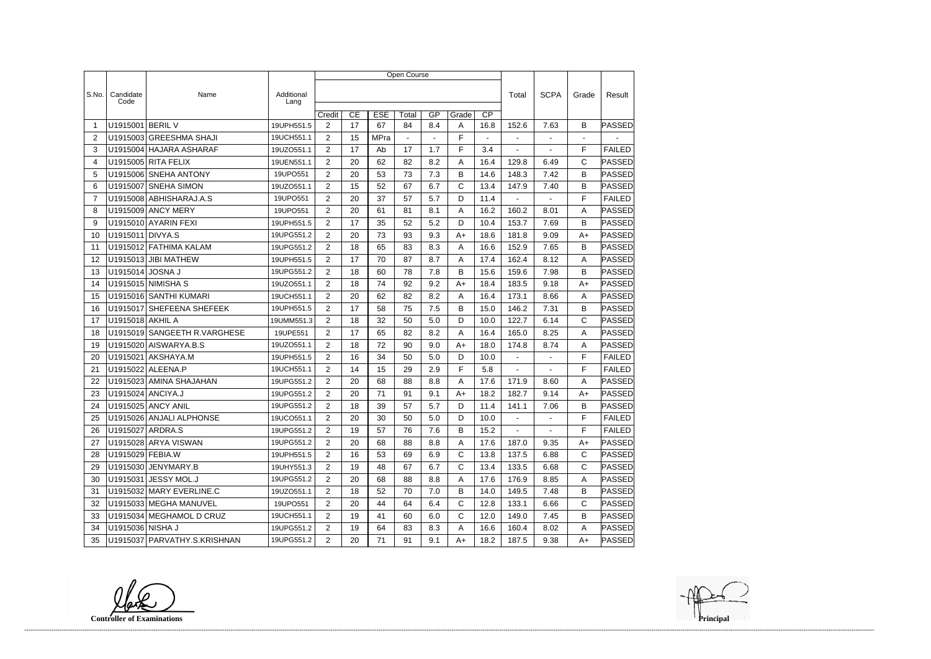|                |                   |                              |                    | Open Course           |    |             |       |                |              |                 |                  |                          |                |               |  |
|----------------|-------------------|------------------------------|--------------------|-----------------------|----|-------------|-------|----------------|--------------|-----------------|------------------|--------------------------|----------------|---------------|--|
|                |                   |                              |                    |                       |    |             |       |                |              |                 |                  |                          |                |               |  |
| S.No.          | Candidate<br>Code | Name                         | Additional<br>Lang |                       |    |             |       |                |              |                 | Total            | <b>SCPA</b>              | Grade          | Result        |  |
|                |                   |                              |                    | Credit                | CE | <b>ESE</b>  | Total | GP             | Grade        | $\overline{CP}$ |                  |                          |                |               |  |
| -1             | U1915001          | <b>BERIL V</b>               | 19UPH551.5         | $\overline{2}$        | 17 | 67          | 84    | 8.4            | Α            | 16.8            | 152.6            | 7.63                     | B              | PASSED        |  |
| 2              |                   | U1915003 GREESHMA SHAJI      | 19UCH551.1         | $\overline{2}$        | 15 | <b>MPra</b> |       | $\blacksquare$ | F            |                 | $\blacksquare$   | $\blacksquare$           | $\overline{a}$ |               |  |
| 3              |                   | U1915004 HAJARA ASHARAF      | 19UZO551.1         | $\overline{2}$        | 17 | Ab          | 17    | 1.7            | F            | 3.4             | ÷,               |                          | F              | <b>FAILED</b> |  |
| 4              |                   | U1915005 RITA FELIX          | 19UEN551.1         | $\overline{2}$        | 20 | 62          | 82    | 8.2            | A            | 16.4            | 129.8            | 6.49                     | $\mathsf{C}$   | PASSED        |  |
| 5              |                   | U1915006 SNEHA ANTONY        | 19UPO551           | $\overline{2}$        | 20 | 53          | 73    | 7.3            | B            | 14.6            | 148.3            | 7.42                     | B              | PASSED        |  |
| 6              | U1915007          | <b>SNEHA SIMON</b>           | 19UZO551.1         | $\overline{2}$        | 15 | 52          | 67    | 6.7            | C            | 13.4            | 147.9            | 7.40                     | B              | PASSED        |  |
| $\overline{7}$ |                   | U1915008 ABHISHARAJ.A.S      | 19UPO551           | $\overline{2}$        | 20 | 37          | 57    | 5.7            | D            | 11.4            |                  |                          | F              | <b>FAILED</b> |  |
| 8              |                   | U1915009 ANCY MERY           | 19UPO551           | $\overline{2}$        | 20 | 61          | 81    | 8.1            | A            | 16.2            | 160.2            | 8.01                     | Α              | <b>PASSED</b> |  |
| 9              |                   | U1915010 AYARIN FEXI         | 19UPH551.5         | $\overline{2}$        | 17 | 35          | 52    | 5.2            | D            | 10.4            | 153.7            | 7.69                     | B              | PASSED        |  |
| 10             | U1915011 DIVYA.S  |                              | 19UPG551.2         | $\overline{2}$        | 20 | 73          | 93    | 9.3            | A+           | 18.6            | 181.8            | 9.09                     | $A+$           | PASSED        |  |
| 11             |                   | U1915012 FATHIMA KALAM       | 19UPG551.2         | 2                     | 18 | 65          | 83    | 8.3            | Α            | 16.6            | 152.9            | 7.65                     | B              | PASSED        |  |
| 12             |                   | U1915013 JIBI MATHEW         | 19UPH551.5         | $\overline{2}$        | 17 | 70          | 87    | 8.7            | A            | 17.4            | 162.4            | 8.12                     | Α              | PASSED        |  |
| 13             | U1915014 JOSNA J  |                              | 19UPG551.2         | $\overline{2}$        | 18 | 60          | 78    | 7.8            | B            | 15.6            | 159.6            | 7.98                     | B              | <b>PASSED</b> |  |
| 14             |                   | U1915015 NIMISHA S           | 19UZO551.1         | $\overline{2}$        | 18 | 74          | 92    | 9.2            | A+           | 18.4            | 183.5            | 9.18                     | $A+$           | PASSED        |  |
| 15             |                   | U1915016 SANTHI KUMARI       | 19UCH551.1         | $\overline{2}$        | 20 | 62          | 82    | 8.2            | Α            | 16.4            | 173.1            | 8.66                     | A              | PASSED        |  |
| 16             | U1915017          | <b>SHEFEENA SHEFEEK</b>      | 19UPH551.5         | $\overline{2}$        | 17 | 58          | 75    | 7.5            | В            | 15.0            | 146.2            | 7.31                     | B              | PASSED        |  |
| 17             | U1915018 AKHIL A  |                              | 19UMM551.3         | $\overline{2}$        | 18 | 32          | 50    | 5.0            | D            | 10.0            | 122.7            | 6.14                     | $\mathsf{C}$   | PASSED        |  |
| 18             |                   | U1915019 SANGEETH R.VARGHESE | 19UPE551           | 2                     | 17 | 65          | 82    | 8.2            | A            | 16.4            | 165.0            | 8.25                     | Α              | <b>PASSED</b> |  |
| 19             |                   | U1915020 AISWARYA.B.S        | 19UZO551.1         | $\overline{2}$        | 18 | 72          | 90    | 9.0            | A+           | 18.0            | 174.8            | 8.74                     | A              | PASSED        |  |
| 20             | U1915021          | AKSHAYA.M                    | 19UPH551.5         | $\overline{2}$        | 16 | 34          | 50    | 5.0            | D            | 10.0            | $\blacksquare$   | $\blacksquare$           | F              | <b>FAILED</b> |  |
| 21             |                   | U1915022 ALEENA.P            | 19UCH551.1         | 2                     | 14 | 15          | 29    | 2.9            | F            | 5.8             | $\blacksquare$   | $\overline{\phantom{a}}$ | F              | <b>FAILED</b> |  |
| 22             |                   | U1915023 AMINA SHAJAHAN      | 19UPG551.2         | $\overline{2}$        | 20 | 68          | 88    | 8.8            | Α            | 17.6            | 171.9            | 8.60                     | Α              | PASSED        |  |
| 23             | U1915024 ANCIYA.J |                              | 19UPG551.2         | $\overline{2}$        | 20 | 71          | 91    | 9.1            | A+           | 18.2            | 182.7            | 9.14                     | A+             | <b>PASSED</b> |  |
| 24             |                   | <b>U1915025 ANCY ANIL</b>    | 19UPG551.2         | $\overline{2}$        | 18 | 39          | 57    | 5.7            | D            | 11.4            | 141.1            | 7.06                     | B              | PASSED        |  |
| 25             |                   | U1915026 ANJALI ALPHONSE     | 19UCO551.1         | $\overline{2}$        | 20 | $30\,$      | 50    | 5.0            | D            | 10.0            | $\sim$ 100 $\mu$ | $\sim$ $-$               | $\mathsf F$    | FAILED        |  |
| 26             | U1915027 ARDRA.S  |                              | 19UPG551.2         | $\overline{2}$        | 19 | 57          | 76    | 7.6            | B            | 15.2            |                  |                          | F              | <b>FAILED</b> |  |
| 27             |                   | U1915028 ARYA VISWAN         | 19UPG551.2         | $\overline{2}$        | 20 | 68          | 88    | 8.8            | Α            | 17.6            | 187.0            | 9.35                     | $A+$           | PASSED        |  |
| 28             | U1915029 FEBIA.W  |                              | 19UPH551.5         | $\overline{2}$        | 16 | 53          | 69    | 6.9            | C            | 13.8            | 137.5            | 6.88                     | $\mathsf{C}$   | PASSED        |  |
| 29             |                   | U1915030 JENYMARY.B          | 19UHY551.3         | $\overline{2}$        | 19 | 48          | 67    | 6.7            | C            | 13.4            | 133.5            | 6.68                     | $\mathsf{C}$   | <b>PASSED</b> |  |
| 30             |                   | U1915031 JESSY MOL.J         | 19UPG551.2         | $\overline{2}$        | 20 | 68          | 88    | 8.8            | A            | 17.6            | 176.9            | 8.85                     | A              | PASSED        |  |
| 31             |                   | U1915032 MARY EVERLINE.C     | 19UZO551.1         | $\mathbf{2}^{\prime}$ | 18 | 52          | 70    | 7.0            | B            | 14.0            | 149.5            | 7.48                     | B              | PASSED        |  |
| 32             |                   | U1915033 MEGHA MANUVEL       | 19UPO551           | $\overline{2}$        | 20 | 44          | 64    | 6.4            | $\mathsf{C}$ | 12.8            | 133.1            | 6.66                     | $\mathsf{C}$   | PASSED        |  |
| 33             |                   | U1915034 MEGHAMOL D CRUZ     | 19UCH551.1         | $\overline{2}$        | 19 | 41          | 60    | 6.0            | С            | 12.0            | 149.0            | 7.45                     | B              | PASSED        |  |
| 34             | U1915036 NISHA J  |                              | 19UPG551.2         | $\overline{2}$        | 19 | 64          | 83    | 8.3            | A            | 16.6            | 160.4            | 8.02                     | Α              | <b>PASSED</b> |  |
| 35             |                   | U1915037 PARVATHY.S.KRISHNAN | 19UPG551.2         | $2^{\circ}$           | 20 | 71          | 91    | 9.1            | A+           | 18.2            | 187.5            | 9.38                     | A+             | PASSED        |  |

**Controller of Examinations**